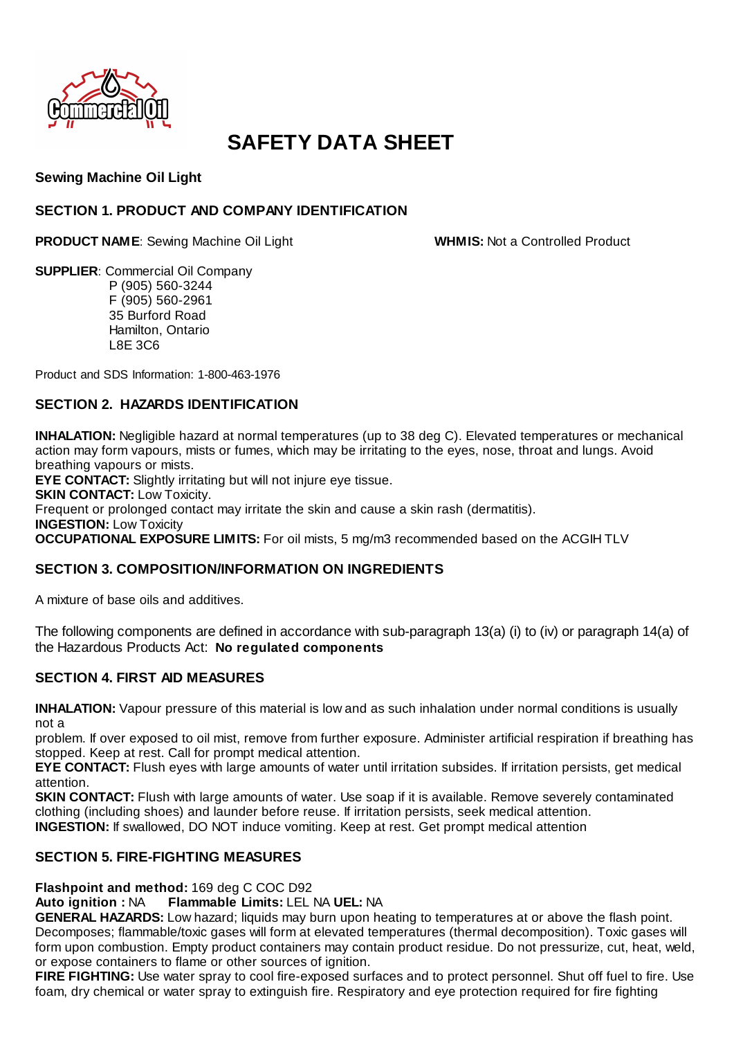

# **SAFETY DATA SHEET**

# **Sewing Machine Oil Light**

## **SECTION 1. PRODUCT AND COMPANY IDENTIFICATION**

**PRODUCT NAME:** Sewing Machine Oil Light **WHMIS:** Not a Controlled Product

**SUPPLIER**: Commercial Oil Company P (905) 560-3244 F (905) 560-2961 35 Burford Road Hamilton, Ontario L8E 3C6

Product and SDS Information: 1-800-463-1976

# **SECTION 2. HAZARDS IDENTIFICATION**

**INHALATION:** Negligible hazard at normal temperatures (up to 38 deg C). Elevated temperatures or mechanical action may form vapours, mists or fumes, which may be irritating to the eyes, nose, throat and lungs. Avoid breathing vapours or mists.

**EYE CONTACT:** Slightly irritating but will not injure eye tissue.

**SKIN CONTACT: Low Toxicity.** 

Frequent or prolonged contact may irritate the skin and cause a skin rash (dermatitis).

**INGESTION: Low Toxicity** 

**OCCUPATIONAL EXPOSURE LIMITS:** For oil mists, 5 mg/m3 recommended based on the ACGIH TLV

### **SECTION 3. COMPOSITION/INFORMATION ON INGREDIENTS**

A mixture of base oils and additives.

The following components are defined in accordance with sub-paragraph 13(a) (i) to (iv) or paragraph 14(a) of the Hazardous Products Act: **No regulated components**

# **SECTION 4. FIRST AID MEASURES**

**INHALATION:** Vapour pressure of this material is low and as such inhalation under normal conditions is usually not a

problem. If over exposed to oil mist, remove from further exposure. Administer artificial respiration if breathing has stopped. Keep at rest. Call for prompt medical attention.

**EYE CONTACT:** Flush eyes with large amounts of water until irritation subsides. If irritation persists, get medical attention.

**SKIN CONTACT:** Flush with large amounts of water. Use soap if it is available. Remove severely contaminated clothing (including shoes) and launder before reuse. If irritation persists, seek medical attention. **INGESTION:** If swallowed, DO NOT induce vomiting. Keep at rest. Get prompt medical attention

### **SECTION 5. FIRE-FIGHTING MEASURES**

**Flashpoint and method:** 169 deg C COC D92

**Auto ignition :** NA **Flammable Limits:** LEL NA **UEL:** NA

**GENERAL HAZARDS:** Low hazard; liquids may burn upon heating to temperatures at or above the flash point. Decomposes; flammable/toxic gases will form at elevated temperatures (thermal decomposition). Toxic gases will form upon combustion. Empty product containers may contain product residue. Do not pressurize, cut, heat, weld, or expose containers to flame or other sources of ignition.

**FIRE FIGHTING:** Use water spray to cool fire-exposed surfaces and to protect personnel. Shut off fuel to fire. Use foam, dry chemical or water spray to extinguish fire. Respiratory and eye protection required for fire fighting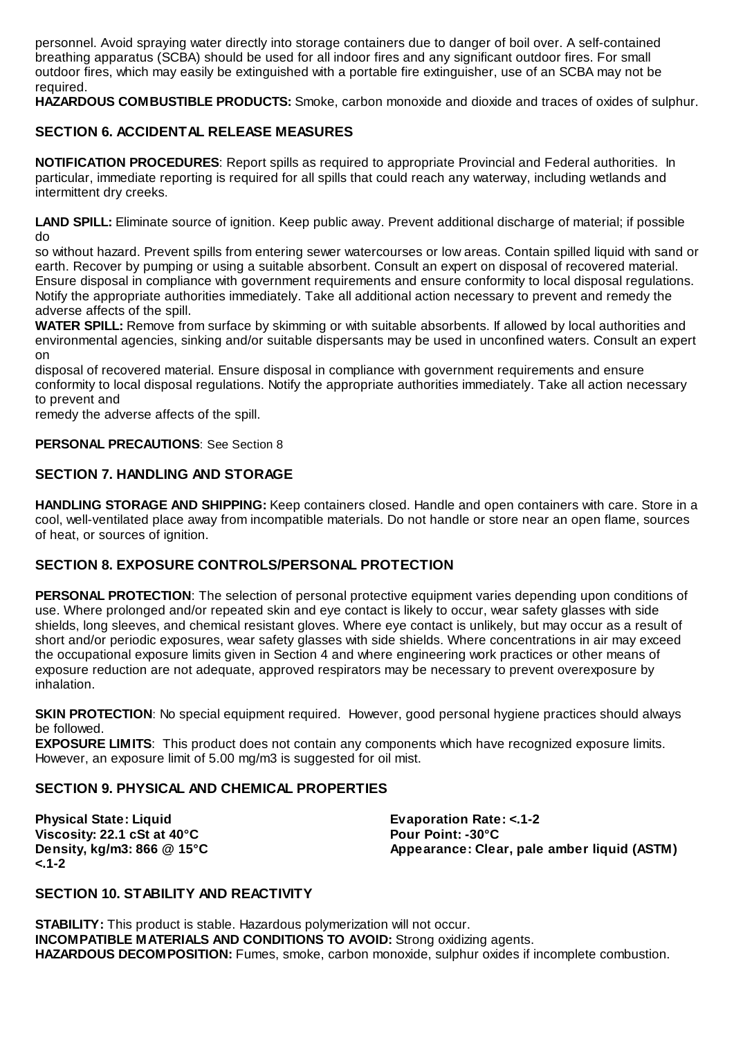personnel. Avoid spraying water directly into storage containers due to danger of boil over. A self-contained breathing apparatus (SCBA) should be used for all indoor fires and any significant outdoor fires. For small outdoor fires, which may easily be extinguished with a portable fire extinguisher, use of an SCBA may not be required.

**HAZARDOUS COMBUSTIBLE PRODUCTS:** Smoke, carbon monoxide and dioxide and traces of oxides of sulphur.

## **SECTION 6. ACCIDENTAL RELEASE MEASURES**

**NOTIFICATION PROCEDURES**: Report spills as required to appropriate Provincial and Federal authorities. In particular, immediate reporting is required for all spills that could reach any waterway, including wetlands and intermittent dry creeks.

**LAND SPILL:** Eliminate source of ignition. Keep public away. Prevent additional discharge of material; if possible do

so without hazard. Prevent spills from entering sewer watercourses or low areas. Contain spilled liquid with sand or earth. Recover by pumping or using a suitable absorbent. Consult an expert on disposal of recovered material. Ensure disposal in compliance with government requirements and ensure conformity to local disposal regulations. Notify the appropriate authorities immediately. Take all additional action necessary to prevent and remedy the adverse affects of the spill.

**WATER SPILL:** Remove from surface by skimming or with suitable absorbents. If allowed by local authorities and environmental agencies, sinking and/or suitable dispersants may be used in unconfined waters. Consult an expert on

disposal of recovered material. Ensure disposal in compliance with government requirements and ensure conformity to local disposal regulations. Notify the appropriate authorities immediately. Take all action necessary to prevent and

remedy the adverse affects of the spill.

#### **PERSONAL PRECAUTIONS: See Section 8**

#### **SECTION 7. HANDLING AND STORAGE**

**HANDLING STORAGE AND SHIPPING:** Keep containers closed. Handle and open containers with care. Store in a cool, well-ventilated place away from incompatible materials. Do not handle or store near an open flame, sources of heat, or sources of ignition.

### **SECTION 8. EXPOSURE CONTROLS/PERSONAL PROTECTION**

**PERSONAL PROTECTION:** The selection of personal protective equipment varies depending upon conditions of use. Where prolonged and/or repeated skin and eye contact is likely to occur, wear safety glasses with side shields, long sleeves, and chemical resistant gloves. Where eye contact is unlikely, but may occur as a result of short and/or periodic exposures, wear safety glasses with side shields. Where concentrations in air may exceed the occupational exposure limits given in Section 4 and where engineering work practices or other means of exposure reduction are not adequate, approved respirators may be necessary to prevent overexposure by inhalation.

**SKIN PROTECTION:** No special equipment required. However, good personal hygiene practices should always be followed.

**EXPOSURE LIMITS:** This product does not contain any components which have recognized exposure limits. However, an exposure limit of 5.00 mg/m3 is suggested for oil mist.

## **SECTION 9. PHYSICAL AND CHEMICAL PROPERTIES**

**Physical State: Liquid Evaporation Rate: <.1-2** Viscosity: 22.1 cSt at 40°C<br>Density. kg/m3: 866 @ 15°C<br>**Pour Point: Appearance: Clea <.1-2**

Appearance: Clear, pale amber liquid (ASTM)

### **SECTION 10. STABILITY AND REACTIVITY**

**STABILITY:** This product is stable. Hazardous polymerization will not occur. **INCOMPATIBLE MATERIALS AND CONDITIONS TO AVOID:** Strong oxidizing agents. **HAZARDOUS DECOMPOSITION:** Fumes, smoke, carbon monoxide, sulphur oxides if incomplete combustion.